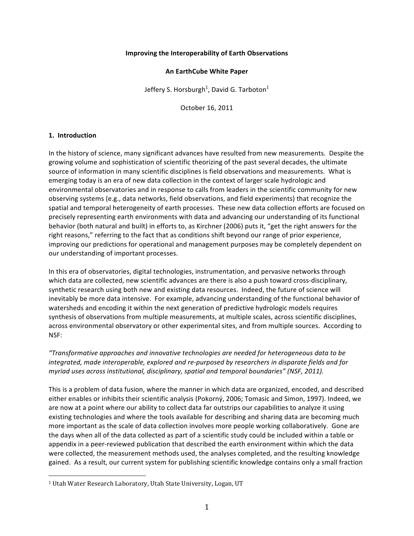## **Improving the Interoperability of Earth Observations**

#### **An EarthCube White Paper**

Jeffery S. Horsburgh<sup>1</sup>, David G. Tarboton<sup>1</sup>

October 16, 2011

## **1. Introduction**

In the history of science, many significant advances have resulted from new measurements. Despite the growing volume and sophistication of scientific theorizing of the past several decades, the ultimate source of information in many scientific disciplines is field observations and measurements. What is emerging today is an era of new data collection in the context of larger scale hydrologic and environmental observatories and in response to calls from leaders in the scientific community for new observing systems (e.g., data networks, field observations, and field experiments) that recognize the spatial and temporal heterogeneity of earth processes. These new data collection efforts are focused on precisely representing earth environments with data and advancing our understanding of its functional behavior (both natural and built) in efforts to, as Kirchner (2006) puts it, "get the right answers for the right reasons," referring to the fact that as conditions shift beyond our range of prior experience, improving our predictions for operational and management purposes may be completely dependent on our understanding of important processes.

In this era of observatories, digital technologies, instrumentation, and pervasive networks through which data are collected, new scientific advances are there is also a push toward cross-disciplinary, synthetic research using both new and existing data resources. Indeed, the future of science will inevitably be more data intensive. For example, advancing understanding of the functional behavior of watersheds and encoding it within the next generation of predictive hydrologic models requires synthesis of observations from multiple measurements, at multiple scales, across scientific disciplines, across environmental observatory or other experimental sites, and from multiple sources. According to NSF:

*"Transformative approaches and innovative technologies are needed for heterogeneous data to be integrated, made interoperable, explored and re-purposed by researchers in disparate fields and for myriad uses across institutional, disciplinary, spatial and temporal boundaries"* (NSF, 2011).

This is a problem of data fusion, where the manner in which data are organized, encoded, and described either enables or inhibits their scientific analysis (Pokorný, 2006; Tomasic and Simon, 1997). Indeed, we are now at a point where our ability to collect data far outstrips our capabilities to analyze it using existing technologies and where the tools available for describing and sharing data are becoming much more important as the scale of data collection involves more people working collaboratively. Gone are the days when all of the data collected as part of a scientific study could be included within a table or appendix in a peer-reviewed publication that described the earth environment within which the data were collected, the measurement methods used, the analyses completed, and the resulting knowledge gained. As a result, our current system for publishing scientific knowledge contains only a small fraction

 

<sup>&</sup>lt;sup>1</sup> Utah Water Research Laboratory, Utah State University, Logan, UT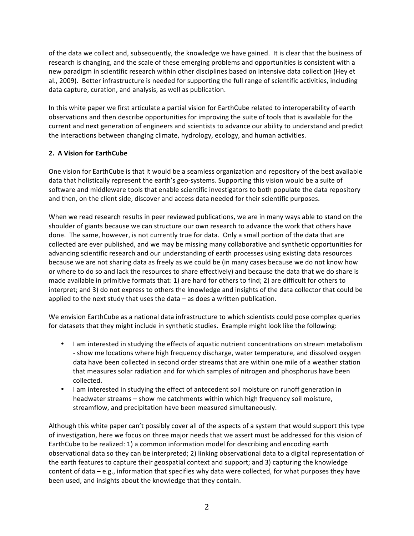of the data we collect and, subsequently, the knowledge we have gained. It is clear that the business of research is changing, and the scale of these emerging problems and opportunities is consistent with a new paradigm in scientific research within other disciplines based on intensive data collection (Hey et al., 2009). Better infrastructure is needed for supporting the full range of scientific activities, including data capture, curation, and analysis, as well as publication.

In this white paper we first articulate a partial vision for EarthCube related to interoperability of earth observations and then describe opportunities for improving the suite of tools that is available for the current and next generation of engineers and scientists to advance our ability to understand and predict the interactions between changing climate, hydrology, ecology, and human activities.

# **2. A Vision for EarthCube**

One vision for EarthCube is that it would be a seamless organization and repository of the best available data that holistically represent the earth's geo-systems. Supporting this vision would be a suite of software and middleware tools that enable scientific investigators to both populate the data repository and then, on the client side, discover and access data needed for their scientific purposes.

When we read research results in peer reviewed publications, we are in many ways able to stand on the shoulder of giants because we can structure our own research to advance the work that others have done. The same, however, is not currently true for data. Only a small portion of the data that are collected are ever published, and we may be missing many collaborative and synthetic opportunities for advancing scientific research and our understanding of earth processes using existing data resources because we are not sharing data as freely as we could be (in many cases because we do not know how or where to do so and lack the resources to share effectively) and because the data that we do share is made available in primitive formats that: 1) are hard for others to find; 2) are difficult for others to interpret; and 3) do not express to others the knowledge and insights of the data collector that could be applied to the next study that uses the data  $-$  as does a written publication.

We envision EarthCube as a national data infrastructure to which scientists could pose complex queries for datasets that they might include in synthetic studies. Example might look like the following:

- I am interested in studying the effects of aquatic nutrient concentrations on stream metabolism - show me locations where high frequency discharge, water temperature, and dissolved oxygen data have been collected in second order streams that are within one mile of a weather station that measures solar radiation and for which samples of nitrogen and phosphorus have been collected.
- I am interested in studying the effect of antecedent soil moisture on runoff generation in headwater streams - show me catchments within which high frequency soil moisture, streamflow, and precipitation have been measured simultaneously.

Although this white paper can't possibly cover all of the aspects of a system that would support this type of investigation, here we focus on three major needs that we assert must be addressed for this vision of EarthCube to be realized: 1) a common information model for describing and encoding earth observational data so they can be interpreted; 2) linking observational data to a digital representation of the earth features to capture their geospatial context and support; and 3) capturing the knowledge content of data  $-e.g.,$  information that specifies why data were collected, for what purposes they have been used, and insights about the knowledge that they contain.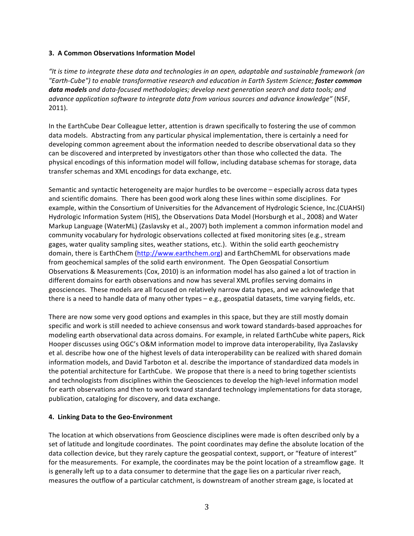# **3. A Common Observations Information Model**

"It is time to integrate these data and technologies in an open, adaptable and sustainable framework (an *"Earth-Cube") to enable transformative research and education in Earth System Science; foster common*  **data models** and data-focused methodologies; develop next generation search and data tools; and *advance application software to integrate data from various sources and advance knowledge"* (NSF, 2011).

In the EarthCube Dear Colleague letter, attention is drawn specifically to fostering the use of common data models. Abstracting from any particular physical implementation, there is certainly a need for developing common agreement about the information needed to describe observational data so they can be discovered and interpreted by investigators other than those who collected the data. The physical encodings of this information model will follow, including database schemas for storage, data transfer schemas and XML encodings for data exchange, etc.

Semantic and syntactic heterogeneity are major hurdles to be overcome - especially across data types and scientific domains. There has been good work along these lines within some disciplines. For example, within the Consortium of Universities for the Advancement of Hydrologic Science, Inc.(CUAHSI) Hydrologic Information System (HIS), the Observations Data Model (Horsburgh et al., 2008) and Water Markup Language (WaterML) (Zaslavsky et al., 2007) both implement a common information model and community vocabulary for hydrologic observations collected at fixed monitoring sites (e.g., stream gages, water quality sampling sites, weather stations, etc.). Within the solid earth geochemistry domain, there is EarthChem (http://www.earthchem.org) and EarthChemML for observations made from geochemical samples of the solid earth environment. The Open Geospatial Consortium Observations & Measurements (Cox, 2010) is an information model has also gained a lot of traction in different domains for earth observations and now has several XML profiles serving domains in geosciences. These models are all focused on relatively narrow data types, and we acknowledge that there is a need to handle data of many other types  $-e.g.,$  geospatial datasets, time varying fields, etc.

There are now some very good options and examples in this space, but they are still mostly domain specific and work is still needed to achieve consensus and work toward standards-based approaches for modeling earth observational data across domains. For example, in related EarthCube white papers, Rick Hooper discusses using OGC's O&M information model to improve data interoperability, Ilya Zaslavsky et al. describe how one of the highest levels of data interoperability can be realized with shared domain information models, and David Tarboton et al. describe the importance of standardized data models in the potential architecture for EarthCube. We propose that there is a need to bring together scientists and technologists from disciplines within the Geosciences to develop the high-level information model for earth observations and then to work toward standard technology implementations for data storage, publication, cataloging for discovery, and data exchange.

# **4. Linking Data to the Geo-Environment**

The location at which observations from Geoscience disciplines were made is often described only by a set of latitude and longitude coordinates. The point coordinates may define the absolute location of the data collection device, but they rarely capture the geospatial context, support, or "feature of interest" for the measurements. For example, the coordinates may be the point location of a streamflow gage. It is generally left up to a data consumer to determine that the gage lies on a particular river reach, measures the outflow of a particular catchment, is downstream of another stream gage, is located at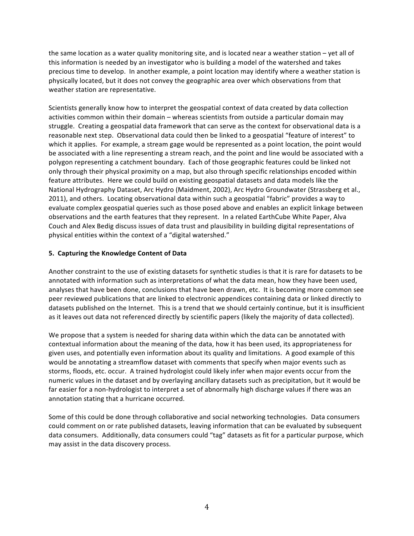the same location as a water quality monitoring site, and is located near a weather station – yet all of this information is needed by an investigator who is building a model of the watershed and takes precious time to develop. In another example, a point location may identify where a weather station is physically located, but it does not convey the geographic area over which observations from that weather station are representative.

Scientists generally know how to interpret the geospatial context of data created by data collection activities common within their domain – whereas scientists from outside a particular domain may struggle. Creating a geospatial data framework that can serve as the context for observational data is a reasonable next step. Observational data could then be linked to a geospatial "feature of interest" to which it applies. For example, a stream gage would be represented as a point location, the point would be associated with a line representing a stream reach, and the point and line would be associated with a polygon representing a catchment boundary. Each of those geographic features could be linked not only through their physical proximity on a map, but also through specific relationships encoded within feature attributes. Here we could build on existing geospatial datasets and data models like the National Hydrography Dataset, Arc Hydro (Maidment, 2002), Arc Hydro Groundwater (Strassberg et al., 2011), and others. Locating observational data within such a geospatial "fabric" provides a way to evaluate complex geospatial queries such as those posed above and enables an explicit linkage between observations and the earth features that they represent. In a related EarthCube White Paper, Alva Couch and Alex Bedig discuss issues of data trust and plausibility in building digital representations of physical entities within the context of a "digital watershed."

# **5. Capturing the Knowledge Content of Data**

Another constraint to the use of existing datasets for synthetic studies is that it is rare for datasets to be annotated with information such as interpretations of what the data mean, how they have been used, analyses that have been done, conclusions that have been drawn, etc. It is becoming more common see peer reviewed publications that are linked to electronic appendices containing data or linked directly to datasets published on the Internet. This is a trend that we should certainly continue, but it is insufficient as it leaves out data not referenced directly by scientific papers (likely the majority of data collected).

We propose that a system is needed for sharing data within which the data can be annotated with contextual information about the meaning of the data, how it has been used, its appropriateness for given uses, and potentially even information about its quality and limitations. A good example of this would be annotating a streamflow dataset with comments that specify when major events such as storms, floods, etc. occur. A trained hydrologist could likely infer when major events occur from the numeric values in the dataset and by overlaying ancillary datasets such as precipitation, but it would be far easier for a non-hydrologist to interpret a set of abnormally high discharge values if there was an annotation stating that a hurricane occurred.

Some of this could be done through collaborative and social networking technologies. Data consumers could comment on or rate published datasets, leaving information that can be evaluated by subsequent data consumers. Additionally, data consumers could "tag" datasets as fit for a particular purpose, which may assist in the data discovery process.